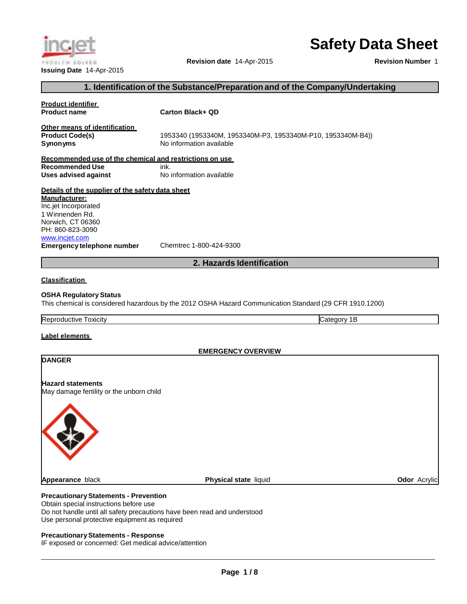# **Safety Data Sheet**

**Revision date** 14-Apr-2015

**Revision Number** 1

#### **1. Identification of the Substance/Preparationand of the Company/Undertaking**

# **Product identifier Product name Carton Black+ QD Other means of identification Product Code(s)** 1953340 (1953340M, 1953340M-P3, 1953340M-P10, 1953340M-B4)) **Synonyms** No information available **Recommended use of the chemical and restrictions on use Recommended Use** ink. **Uses advised against** No information available **Details of the supplier of the safety data sheet Manufacturer:** Inc.jet Incorporated 1 Winnenden Rd. Norwich, CT 06360 PH: 860-823-3090 www.inciet.com **Emergency telephone number** Chemtrec 1-800-424-9300 **2. Hazards Identification Classification OSHA RegulatoryStatus** This chemical is considered hazardous by the 2012 OSHA Hazard Communication Standard (29 CFR 1910.1200) Reproductive Toxicity Category 1B **Label elements DANGER EMERGENCY OVERVIEW Hazard statements** May damage fertility or the unborn child **Appearance** black **Physical state** liquid **Odor** Acrylic **PrecautionaryStatements - Prevention** Obtain special instructions before use

Do not handle until all safety precautions have been read and understood Use personal protective equipment as required

## **PrecautionaryStatements - Response**

IF exposed or concerned: Get medical advice/attention

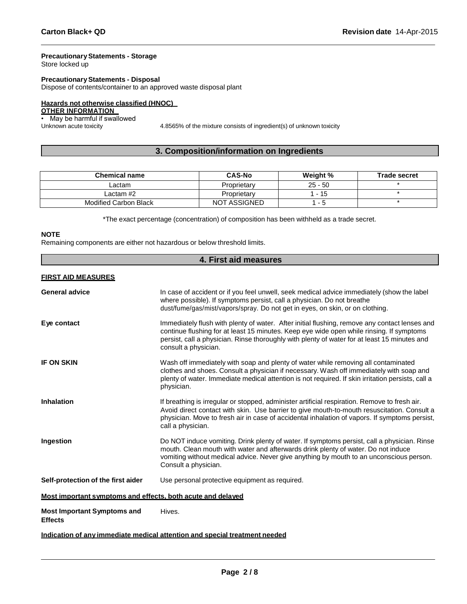## **PrecautionaryStatements - Storage**

Store locked up

# **PrecautionaryStatements - Disposal**

Dispose of contents/container to an approved waste disposal plant

# **Hazards not otherwise classified (HNOC)**

# **OTHER INFORMATION**

• May be harmful if swallowed<br>Unknown acute toxicity

4.8565% of the mixture consists of ingredient(s) of unknown toxicity

# **3. Composition/information on Ingredients**

| <b>Chemical name</b>  | <b>CAS-No</b>       | Weight %                 | <b>Trade secret</b> |
|-----------------------|---------------------|--------------------------|---------------------|
| Lactam                | Proprietary         | $25 - 50$                |                     |
| Lactam #2             | Proprietary         | l - 15                   |                     |
| Modified Carbon Black | <b>NOT ASSIGNED</b> | $\overline{\phantom{0}}$ |                     |

\*The exact percentage (concentration) of composition has been withheld as a trade secret.

#### **NOTE**

Remaining components are either not hazardous or below threshold limits.

| 4. First aid measures                                                      |                                                                                                                                                                                                                                                                                                                    |  |  |
|----------------------------------------------------------------------------|--------------------------------------------------------------------------------------------------------------------------------------------------------------------------------------------------------------------------------------------------------------------------------------------------------------------|--|--|
| <b>FIRST AID MEASURES</b>                                                  |                                                                                                                                                                                                                                                                                                                    |  |  |
| <b>General advice</b>                                                      | In case of accident or if you feel unwell, seek medical advice immediately (show the label<br>where possible). If symptoms persist, call a physician. Do not breathe<br>dust/fume/gas/mist/vapors/spray. Do not get in eyes, on skin, or on clothing.                                                              |  |  |
| Eye contact                                                                | Immediately flush with plenty of water. After initial flushing, remove any contact lenses and<br>continue flushing for at least 15 minutes. Keep eye wide open while rinsing. If symptoms<br>persist, call a physician. Rinse thoroughly with plenty of water for at least 15 minutes and<br>consult a physician.  |  |  |
| <b>IF ON SKIN</b>                                                          | Wash off immediately with soap and plenty of water while removing all contaminated<br>clothes and shoes. Consult a physician if necessary. Wash off immediately with soap and<br>plenty of water. Immediate medical attention is not required. If skin irritation persists, call a<br>physician.                   |  |  |
| <b>Inhalation</b>                                                          | If breathing is irregular or stopped, administer artificial respiration. Remove to fresh air.<br>Avoid direct contact with skin. Use barrier to give mouth-to-mouth resuscitation. Consult a<br>physician. Move to fresh air in case of accidental inhalation of vapors. If symptoms persist,<br>call a physician. |  |  |
| Ingestion                                                                  | Do NOT induce vomiting. Drink plenty of water. If symptoms persist, call a physician. Rinse<br>mouth. Clean mouth with water and afterwards drink plenty of water. Do not induce<br>vomiting without medical advice. Never give anything by mouth to an unconscious person.<br>Consult a physician.                |  |  |
| Self-protection of the first aider                                         | Use personal protective equipment as required.                                                                                                                                                                                                                                                                     |  |  |
| Most important symptoms and effects, both acute and delayed                |                                                                                                                                                                                                                                                                                                                    |  |  |
| <b>Most Important Symptoms and</b><br><b>Effects</b>                       | Hives.                                                                                                                                                                                                                                                                                                             |  |  |
| Indication of any immediate medical attention and special treatment needed |                                                                                                                                                                                                                                                                                                                    |  |  |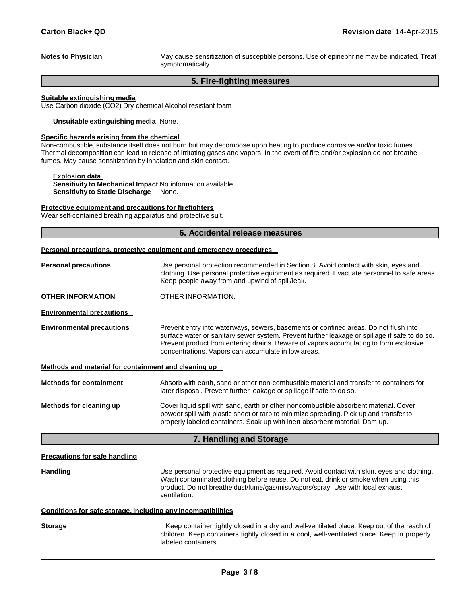**Notes to Physician** May cause sensitization of susceptible persons. Use of epinephrine may be indicated. Treat symptomatically.

#### **5. Fire-fighting measures**

#### **Suitable extinguishing media**

Use Carbon dioxide (CO2) Dry chemical Alcohol resistant foam

**Unsuitable extinguishing media** None.

#### **Specific hazards arising from the chemical**

Non-combustible, substance itself does not burn but may decompose upon heating to produce corrosive and/or toxic fumes. Thermal decomposition can lead to release of irritating gases and vapors. In the event of fire and/or explosion do not breathe fumes. May cause sensitization by inhalation and skin contact.

#### **Explosion data**

**Sensitivity to Mechanical Impact** No information available. **Sensitivity to Static Discharge** None.

#### **Protective equipment and precautions for firefighters**

Wear self-contained breathing apparatus and protective suit.

### **6. Accidental release measures**

| Personal precautions, protective equipment and emergency procedures |  |  |  |  |
|---------------------------------------------------------------------|--|--|--|--|
|                                                                     |  |  |  |  |

| <b>Personal precautions</b>                                  | Use personal protection recommended in Section 8. Avoid contact with skin, eyes and<br>clothing. Use personal protective equipment as required. Evacuate personnel to safe areas.<br>Keep people away from and upwind of spill/leak.                                                                                                  |
|--------------------------------------------------------------|---------------------------------------------------------------------------------------------------------------------------------------------------------------------------------------------------------------------------------------------------------------------------------------------------------------------------------------|
| <b>OTHER INFORMATION</b>                                     | OTHER INFORMATION.                                                                                                                                                                                                                                                                                                                    |
| <b>Environmental precautions</b>                             |                                                                                                                                                                                                                                                                                                                                       |
| <b>Environmental precautions</b>                             | Prevent entry into waterways, sewers, basements or confined areas. Do not flush into<br>surface water or sanitary sewer system. Prevent further leakage or spillage if safe to do so.<br>Prevent product from entering drains. Beware of vapors accumulating to form explosive<br>concentrations. Vapors can accumulate in low areas. |
| Methods and material for containment and cleaning up         |                                                                                                                                                                                                                                                                                                                                       |
| <b>Methods for containment</b>                               | Absorb with earth, sand or other non-combustible material and transfer to containers for<br>later disposal. Prevent further leakage or spillage if safe to do so.                                                                                                                                                                     |
| Methods for cleaning up                                      | Cover liquid spill with sand, earth or other noncombustible absorbent material. Cover<br>powder spill with plastic sheet or tarp to minimize spreading. Pick up and transfer to<br>properly labeled containers. Soak up with inert absorbent material. Dam up.                                                                        |
|                                                              | 7. Handling and Storage                                                                                                                                                                                                                                                                                                               |
| <b>Precautions for safe handling</b>                         |                                                                                                                                                                                                                                                                                                                                       |
| <b>Handling</b>                                              | Use personal protective equipment as required. Avoid contact with skin, eyes and clothing.<br>Wash contaminated clothing before reuse. Do not eat, drink or smoke when using this<br>product. Do not breathe dust/fume/gas/mist/vapors/spray. Use with local exhaust<br>ventilation.                                                  |
| Conditions for safe storage, including any incompatibilities |                                                                                                                                                                                                                                                                                                                                       |
| <b>Storage</b>                                               | Keep container tightly closed in a dry and well-ventilated place. Keep out of the reach of<br>children. Keep containers tightly closed in a cool, well-ventilated place. Keep in properly<br>labeled containers.                                                                                                                      |
|                                                              |                                                                                                                                                                                                                                                                                                                                       |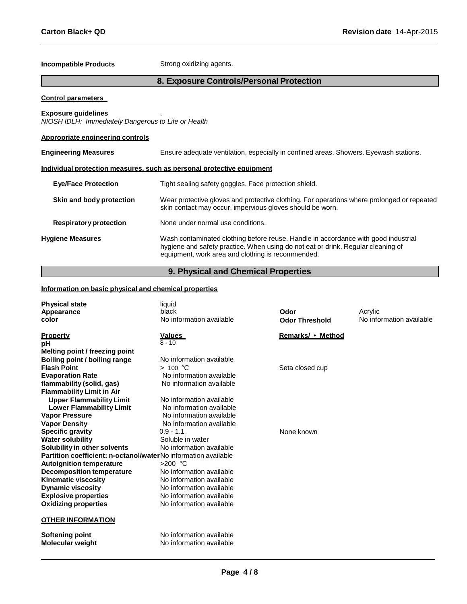# **Incompatible Products** Strong oxidizing agents.

# **8. Exposure Controls/Personal Protection**

#### **Control parameters**

# **Exposure guidelines** .

*NIOSH IDLH: Immediately Dangerous to Life or Health*

### **Appropriate engineering controls**

| <b>Engineering Measures</b>   | Ensure adequate ventilation, especially in confined areas. Showers. Eyewash stations.                                                                                                                                       |  |  |
|-------------------------------|-----------------------------------------------------------------------------------------------------------------------------------------------------------------------------------------------------------------------------|--|--|
|                               | Individual protection measures, such as personal protective equipment                                                                                                                                                       |  |  |
| <b>Eye/Face Protection</b>    | Tight sealing safety goggles. Face protection shield.                                                                                                                                                                       |  |  |
| Skin and body protection      | Wear protective gloves and protective clothing. For operations where prolonged or repeated<br>skin contact may occur, impervious gloves should be worn.                                                                     |  |  |
| <b>Respiratory protection</b> | None under normal use conditions.                                                                                                                                                                                           |  |  |
| <b>Hygiene Measures</b>       | Wash contaminated clothing before reuse. Handle in accordance with good industrial<br>hygiene and safety practice. When using do not eat or drink. Regular cleaning of<br>equipment, work area and clothing is recommended. |  |  |

# **9. Physical and Chemical Properties**

#### **Information on basic physical and chemical properties**

| <b>Physical state</b><br>Appearance<br>color                   | liquid<br>black<br>No information available          | Odor<br><b>Odor Threshold</b> | Acrylic<br>No information available |
|----------------------------------------------------------------|------------------------------------------------------|-------------------------------|-------------------------------------|
| <b>Property</b>                                                | <u>Values</u><br>$8 - 10$                            | Remarks/ • Method             |                                     |
| рH<br>Melting point / freezing point                           |                                                      |                               |                                     |
| Boiling point / boiling range                                  | No information available                             |                               |                                     |
| <b>Flash Point</b>                                             | > 100 °C                                             | Seta closed cup               |                                     |
| <b>Evaporation Rate</b>                                        | No information available                             |                               |                                     |
| flammability (solid, gas)                                      | No information available                             |                               |                                     |
| <b>Flammability Limit in Air</b>                               |                                                      |                               |                                     |
| <b>Upper Flammability Limit</b>                                | No information available                             |                               |                                     |
| <b>Lower Flammability Limit</b>                                | No information available                             |                               |                                     |
| <b>Vapor Pressure</b>                                          | No information available                             |                               |                                     |
| <b>Vapor Density</b>                                           | No information available                             |                               |                                     |
| <b>Specific gravity</b>                                        | $0.9 - 1.1$                                          | None known                    |                                     |
| <b>Water solubility</b>                                        | Soluble in water                                     |                               |                                     |
| Solubility in other solvents                                   | No information available                             |                               |                                     |
| Partition coefficient: n-octanol/waterNo information available |                                                      |                               |                                     |
| <b>Autoignition temperature</b>                                | $>200$ °C                                            |                               |                                     |
| <b>Decomposition temperature</b>                               | No information available                             |                               |                                     |
| <b>Kinematic viscosity</b>                                     | No information available                             |                               |                                     |
| <b>Dynamic viscosity</b>                                       | No information available                             |                               |                                     |
| <b>Explosive properties</b>                                    | No information available                             |                               |                                     |
| <b>Oxidizing properties</b>                                    | No information available                             |                               |                                     |
| <b>OTHER INFORMATION</b>                                       |                                                      |                               |                                     |
| Softening point<br><b>Molecular weight</b>                     | No information available<br>No information available |                               |                                     |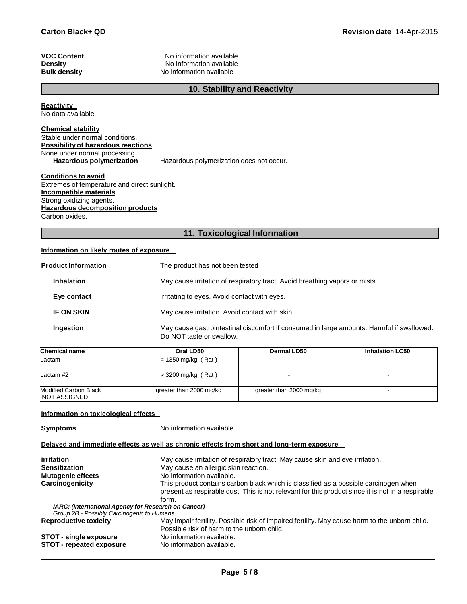| <b>VOC Content</b>  | No information available |
|---------------------|--------------------------|
| Density             | No information available |
| <b>Bulk density</b> | No information available |

# **10. Stability and Reactivity**

**Reactivity** 

No data available

# **Chemical stability**

Stable under normal conditions. **Possibilityof hazardous reactions** None under normal processing.<br>Hazardous polymerization **Hazardous polymerization does not occur.** 

#### **Conditions to avoid**

Extremes of temperature and direct sunlight. **Incompatible materials** Strong oxidizing agents. **Hazardous decomposition products**

Carbon oxides.

# **11. Toxicological Information**

# **Information on likely routes of exposure**

| <b>Product Information</b> | The product has not been tested                                                                                       |
|----------------------------|-----------------------------------------------------------------------------------------------------------------------|
| <b>Inhalation</b>          | May cause irritation of respiratory tract. Avoid breathing vapors or mists.                                           |
| Eye contact                | Irritating to eyes. Avoid contact with eyes.                                                                          |
| <b>IF ON SKIN</b>          | May cause irritation. Avoid contact with skin.                                                                        |
| Ingestion                  | May cause gastrointestinal discomfort if consumed in large amounts. Harmful if swallowed.<br>Do NOT taste or swallow. |

| <b>Chemical name</b>                    | Oral LD50               | Dermal LD50             | <b>Inhalation LC50</b> |
|-----------------------------------------|-------------------------|-------------------------|------------------------|
| Lactam                                  | $= 1350$ mg/kg (Rat)    |                         |                        |
| Lactam $#2$                             | $>$ 3200 mg/kg (Rat)    |                         |                        |
| Modified Carbon Black<br>I NOT ASSIGNED | greater than 2000 mg/kg | greater than 2000 mg/kg |                        |

#### **Information on toxicological effects**

**Symptoms** No information available.

#### **Delayed and immediate effects as well as chronic effects from short and long-term exposure**

| irritation                                          | May cause irritation of respiratory tract. May cause skin and eye irritation.                                                                                                                      |
|-----------------------------------------------------|----------------------------------------------------------------------------------------------------------------------------------------------------------------------------------------------------|
| <b>Sensitization</b>                                | May cause an allergic skin reaction.                                                                                                                                                               |
| <b>Mutagenic effects</b>                            | No information available.                                                                                                                                                                          |
| Carcinogenicity                                     | This product contains carbon black which is classified as a possible carcinogen when<br>present as respirable dust. This is not relevant for this product since it is not in a respirable<br>form. |
| IARC: (International Agency for Research on Cancer) |                                                                                                                                                                                                    |
| Group 2B - Possibly Carcinogenic to Humans          |                                                                                                                                                                                                    |
| <b>Reproductive toxicity</b>                        | May impair fertility. Possible risk of impaired fertility. May cause harm to the unborn child.<br>Possible risk of harm to the unborn child.                                                       |
| <b>STOT - single exposure</b>                       | No information available.                                                                                                                                                                          |
| <b>STOT - repeated exposure</b>                     | No information available.                                                                                                                                                                          |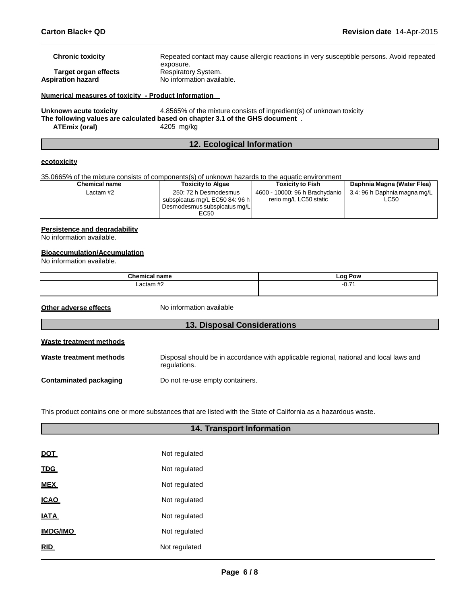| Numerical measures of toxicity - Product Information |                                                                                                        |
|------------------------------------------------------|--------------------------------------------------------------------------------------------------------|
| <b>Aspiration hazard</b>                             | No information available.                                                                              |
| Target organ effects                                 | Respiratory System.                                                                                    |
| <b>Chronic toxicity</b>                              | Repeated contact may cause allergic reactions in very susceptible persons. Avoid repeated<br>exposure. |

**Unknown acute toxicity** 4.8565% of the mixture consists of ingredient(s) of unknown toxicity **The following values are calculated based on chapter 3.1 of the GHS document** . **ATEmix (oral)** 4205 mg/kg

# **12. Ecological Information**

#### **ecotoxicity**

35.0665% of the mixture consists of components(s) of unknown hazards to the aquatic environment

| <b>Chemical name</b> | <b>Toxicity to Algae</b>                                                                        | <b>Toxicity to Fish</b>                                  | Daphnia Magna (Water Flea)                  |
|----------------------|-------------------------------------------------------------------------------------------------|----------------------------------------------------------|---------------------------------------------|
| Lactam #2            | 250: 72 h Desmodesmus<br>subspicatus mg/L EC50 84: 96 h<br>Desmodesmus subspicatus mg/L<br>EC50 | 4600 - 10000: 96 h Brachydanio<br>rerio mg/L LC50 static | 3.4: 96 h Daphnia magna mg/L<br><b>LC50</b> |

#### **Persistence and degradability**

No information available.

#### **Bioaccumulation/Accumulation**

No information available.

| <b>AL</b><br>.                | $-0o$<br>Pow<br>-- 3              |
|-------------------------------|-----------------------------------|
| $\mu$ $\sigma$<br>oots<br>rar | $\overline{\phantom{0}}$<br>ו וטי |
|                               |                                   |

**Other adverse effects** No information available

| <b>13. Disposal Considerations</b> |                                                                                                        |  |  |
|------------------------------------|--------------------------------------------------------------------------------------------------------|--|--|
| <b>Waste treatment methods</b>     |                                                                                                        |  |  |
| Waste treatment methods            | Disposal should be in accordance with applicable regional, national and local laws and<br>regulations. |  |  |
| Contaminated packaging             | Do not re-use empty containers.                                                                        |  |  |

This product contains one or more substances that are listed with the State of California as a hazardous waste.

| <b>14. Transport Information</b> |               |  |  |
|----------------------------------|---------------|--|--|
|                                  |               |  |  |
| <b>DOT</b>                       | Not regulated |  |  |
| <b>TDG</b>                       | Not regulated |  |  |
| <b>MEX</b>                       | Not regulated |  |  |
| <b>ICAO</b>                      | Not regulated |  |  |
| <b>IATA</b>                      | Not regulated |  |  |
| <b>IMDG/IMO</b>                  | Not regulated |  |  |
| <b>RID</b>                       | Not regulated |  |  |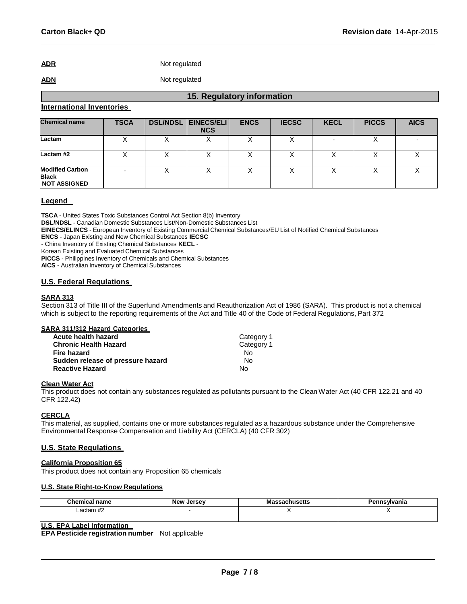**ADR** Not regulated

# **ADN** Not regulated

#### **International Inventories**

| <b>Chemical name</b>                                          | <b>TSCA</b> | <b>DSL/NDSL EINECS/ELI</b><br><b>NCS</b> | <b>ENCS</b> | <b>IECSC</b> | <b>KECL</b> | <b>PICCS</b> | <b>AICS</b> |
|---------------------------------------------------------------|-------------|------------------------------------------|-------------|--------------|-------------|--------------|-------------|
| Lactam                                                        |             |                                          |             |              |             |              |             |
| Lactam#2                                                      |             |                                          |             |              |             |              |             |
| <b>Modified Carbon</b><br><b>Black</b><br><b>NOT ASSIGNED</b> |             |                                          |             |              |             |              |             |

**15. Regulatory information**

### **Legend**

**TSCA** - United States Toxic Substances Control Act Section 8(b) Inventory

**DSL/NDSL** - Canadian Domestic Substances List/Non-Domestic Substances List

**EINECS/ELINCS** - European Inventory of Existing Commercial Chemical Substances/EU List of Notified Chemical Substances

**ENCS** - Japan Existing and New Chemical Substances **IECSC**

- China Inventory of Existing Chemical Substances **KECL** -

Korean Existing and Evaluated Chemical Substances

**PICCS** - Philippines Inventory of Chemicals and Chemical Substances

**AICS** - Australian Inventory of Chemical Substances

#### **U.S. Federal Regulations**

#### **SARA 313**

Section 313 of Title III of the Superfund Amendments and Reauthorization Act of 1986 (SARA). This product is not a chemical which is subject to the reporting requirements of the Act and Title 40 of the Code of Federal Regulations, Part 372

#### **SARA 311/312 Hazard Categories**

| Acute health hazard               | Category 1 |
|-----------------------------------|------------|
| <b>Chronic Health Hazard</b>      | Category 1 |
| Fire hazard                       | N٥         |
| Sudden release of pressure hazard | Nο         |
| <b>Reactive Hazard</b>            | N٥         |

#### **Clean Water Act**

This product does not contain any substances regulated as pollutants pursuant to the Clean Water Act (40 CFR 122.21 and 40 CFR 122.42)

### **CERCLA**

This material, as supplied, contains one or more substances regulated as a hazardous substance under the Comprehensive Environmental Response Compensation and Liability Act (CERCLA) (40 CFR 302)

#### **U.S. State Regulations**

### **California Proposition 65**

This product does not contain any Proposition 65 chemicals

#### **U.S. State Right-to-Know Regulations**

| Chemical name      | <b>New</b><br>Jersev | ≎husetts<br>шо<br>__ | Pennsylvania |
|--------------------|----------------------|----------------------|--------------|
| $\mu$<br>Lactam #2 |                      |                      | . .          |
|                    |                      |                      |              |

# **U.S. EPA Label Information**

**EPA Pesticide registration number** Not applicable